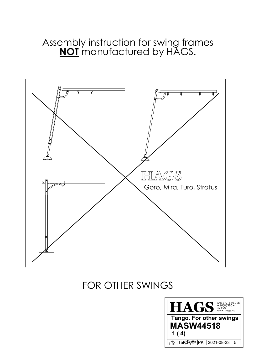Assembly instruction for swing frames **NOT** manufactured by HAGS.



## FOR OTHER SWINGS

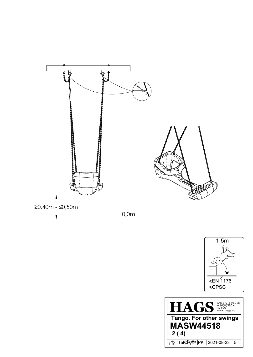



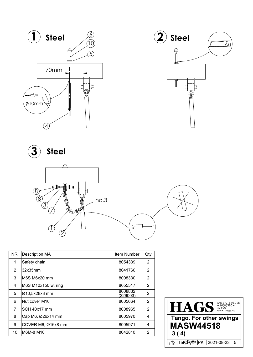



**Steel** 



| NR. | <b>Description MA</b> | <b>Item Number</b>         | Qty |
|-----|-----------------------|----------------------------|-----|
| 1   | Safety chain          | 8054339                    | 2   |
| 2   | 32x35mm               | 8041760                    | 2   |
| 3   | M6S M6x20 mm          | 8008330                    | 2   |
| 4   | M6S M10x150 w. ring   | 8055517                    | 2   |
| 5   | Ø10,5x28x3 mm         | 8008832<br><u>(326003)</u> | 2   |
| 6   | Nut cover M10         | 8005664                    | 2   |
| 7   | SCH 40x17 mm          | 8008965                    | 2   |
| 8   | Cap M6, Ø26x14 mm     | 8005970                    | 4   |
| 9   | COVER M6, Ø16x8 mm    | 8005971                    | 4   |
| 10  | M6M-8 M10             | 8042810                    | 2   |